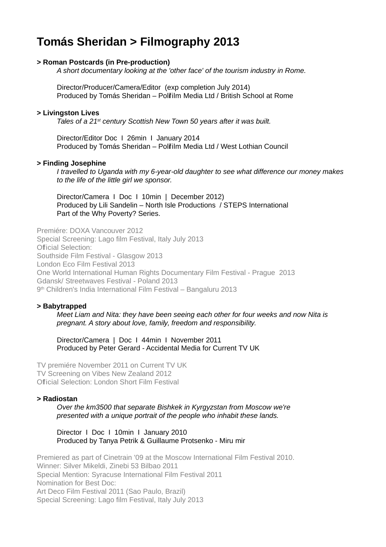# **Tomás Sheridan > Filmography 2013**

# **> Roman Postcards (in Pre-production)**

A short documentary looking at the 'other face' of the tourism industry in Rome.

Director/Producer/Camera/Editor (exp completion July 2014) Produced by Tomás Sheridan – Polifilm Media Ltd / British School at Rome

#### **> Livingston Lives**

Tales of a 21<sup>st</sup> century Scottish New Town 50 years after it was built.

Director/Editor Doc I 26min I January 2014 Produced by Tomás Sheridan – Polifilm Media Ltd / West Lothian Council

#### **> Finding Josephine**

I travelled to Uganda with my 6-year-old daughter to see what difference our money makes to the life of the little girl we sponsor.

Director/Camera I Doc I 10min | December 2012) Produced by Lili Sandelin – North Isle Productions / STEPS International Part of the Why Poverty? Series.

Premiére: DOXA Vancouver 2012 Special Screening: Lago film Festival, Italy July 2013 Official Selection: Southside Film Festival - Glasgow 2013 London Eco Film Festival 2013 One World International Human Rights Documentary Film Festival - Prague 2013 Gdansk/ Streetwaves Festival - Poland 2013 9 th Children's India International Film Festival – Bangaluru 2013

## **> Babytrapped**

Meet Liam and Nita: they have been seeing each other for four weeks and now Nita is pregnant. A story about love, family, freedom and responsibility.

Director/Camera | Doc I 44min I November 2011 Produced by Peter Gerard - Accidental Media for Current TV UK

TV premiére November 2011 on Current TV UK TV Screening on Vibes New Zealand 2012 Official Selection: London Short Film Festival

## **> Radiostan**

Over the km3500 that separate Bishkek in Kyrgyzstan from Moscow we're presented with a unique portrait of the people who inhabit these lands.

Director I Doc I 10min I January 2010 Produced by Tanya Petrik & Guillaume Protsenko - Miru mir

Premiered as part of Cinetrain '09 at the Moscow International Film Festival 2010. Winner: Silver Mikeldi, Zinebi 53 Bilbao 2011 Special Mention: Syracuse International Film Festival 2011 Nomination for Best Doc: Art Deco Film Festival 2011 (Sao Paulo, Brazil) Special Screening: Lago film Festival, Italy July 2013